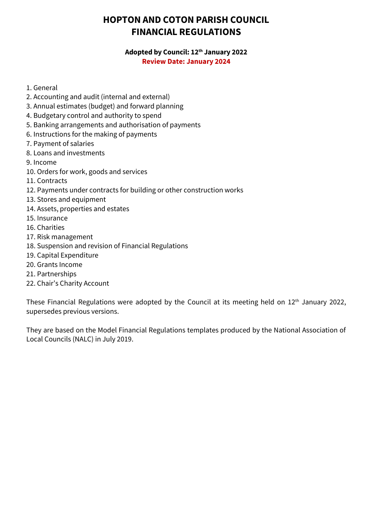# **HOPTON AND COTON PARISH COUNCIL FINANCIAL REGULATIONS**

#### **Adopted by Council: 12th January 2022 Review Date: January 2024**

- 1. General
- 2. Accounting and audit (internal and external)
- 3. Annual estimates (budget) and forward planning
- 4. Budgetary control and authority to spend
- 5. Banking arrangements and authorisation of payments
- 6. Instructions for the making of payments
- 7. Payment of salaries
- 8. Loans and investments
- 9. Income
- 10. Orders for work, goods and services
- 11. Contracts
- 12. Payments under contracts for building or other construction works
- 13. Stores and equipment
- 14. Assets, properties and estates
- 15. Insurance
- 16. Charities
- 17. Risk management
- 18. Suspension and revision of Financial Regulations
- 19. Capital Expenditure
- 20. Grants Income
- 21. Partnerships
- 22. Chair's Charity Account

These Financial Regulations were adopted by the Council at its meeting held on 12<sup>th</sup> January 2022, supersedes previous versions.

They are based on the Model Financial Regulations templates produced by the National Association of Local Councils (NALC) in July 2019.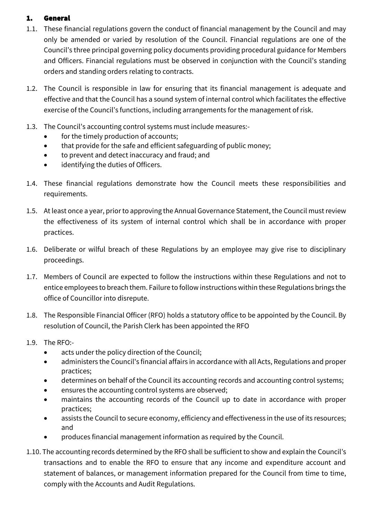# 1. General

- 1.1. These financial regulations govern the conduct of financial management by the Council and may only be amended or varied by resolution of the Council. Financial regulations are one of the Council's three principal governing policy documents providing procedural guidance for Members and Officers. Financial regulations must be observed in conjunction with the Council's standing orders and standing orders relating to contracts.
- 1.2. The Council is responsible in law for ensuring that its financial management is adequate and effective and that the Council has a sound system of internal control which facilitates the effective exercise of the Council's functions, including arrangements for the management of risk.
- 1.3. The Council's accounting control systems must include measures:-
	- for the timely production of accounts;
	- that provide for the safe and efficient safeguarding of public money;
	- to prevent and detect inaccuracy and fraud; and
	- identifying the duties of Officers.
- 1.4. These financial regulations demonstrate how the Council meets these responsibilities and requirements.
- 1.5. At least once a year, prior to approving the Annual Governance Statement, the Council must review the effectiveness of its system of internal control which shall be in accordance with proper practices.
- 1.6. Deliberate or wilful breach of these Regulations by an employee may give rise to disciplinary proceedings.
- 1.7. Members of Council are expected to follow the instructions within these Regulations and not to entice employees to breach them. Failure to follow instructions within these Regulations brings the office of Councillor into disrepute.
- 1.8. The Responsible Financial Officer (RFO) holds a statutory office to be appointed by the Council. By resolution of Council, the Parish Clerk has been appointed the RFO
- 1.9. The RFO:-
	- acts under the policy direction of the Council;
	- administers the Council's financial affairs in accordance with all Acts, Regulations and proper practices;
	- determines on behalf of the Council its accounting records and accounting control systems;
	- ensures the accounting control systems are observed;
	- maintains the accounting records of the Council up to date in accordance with proper practices;
	- assists the Council to secure economy, efficiency and effectiveness in the use of its resources; and
	- produces financial management information as required by the Council.
- 1.10. The accounting records determined by the RFO shall be sufficient to show and explain the Council's transactions and to enable the RFO to ensure that any income and expenditure account and statement of balances, or management information prepared for the Council from time to time, comply with the Accounts and Audit Regulations.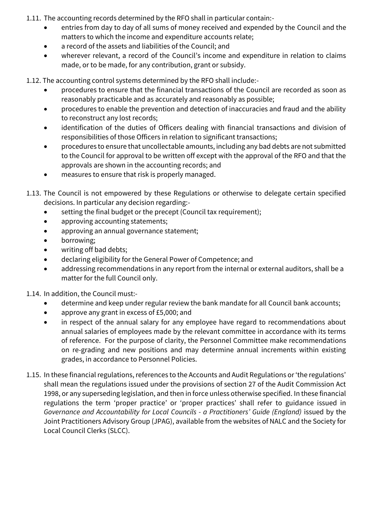- 1.11. The accounting records determined by the RFO shall in particular contain:-
	- entries from day to day of all sums of money received and expended by the Council and the matters to which the income and expenditure accounts relate;
	- a record of the assets and liabilities of the Council; and
	- wherever relevant, a record of the Council's income and expenditure in relation to claims made, or to be made, for any contribution, grant or subsidy.

1.12. The accounting control systems determined by the RFO shall include:-

- procedures to ensure that the financial transactions of the Council are recorded as soon as reasonably practicable and as accurately and reasonably as possible;
- procedures to enable the prevention and detection of inaccuracies and fraud and the ability to reconstruct any lost records;
- identification of the duties of Officers dealing with financial transactions and division of responsibilities of those Officers in relation to significant transactions;
- procedures to ensure that uncollectable amounts, including any bad debts are not submitted to the Council for approval to be written off except with the approval of the RFO and that the approvals are shown in the accounting records; and
- measures to ensure that risk is properly managed.
- 1.13. The Council is not empowered by these Regulations or otherwise to delegate certain specified decisions. In particular any decision regarding:-
	- setting the final budget or the precept (Council tax requirement);
	- approving accounting statements;
	- approving an annual governance statement;
	- borrowing;
	- writing off bad debts;
	- declaring eligibility for the General Power of Competence; and
	- addressing recommendations in any report from the internal or external auditors, shall be a matter for the full Council only.

1.14. In addition, the Council must:-

- determine and keep under regular review the bank mandate for all Council bank accounts;
- approve any grant in excess of £5,000; and
- in respect of the annual salary for any employee have regard to recommendations about annual salaries of employees made by the relevant committee in accordance with its terms of reference. For the purpose of clarity, the Personnel Committee make recommendations on re-grading and new positions and may determine annual increments within existing grades, in accordance to Personnel Policies.
- 1.15. In these financial regulations, references to the Accounts and Audit Regulations or 'the regulations' shall mean the regulations issued under the provisions of section 27 of the Audit Commission Act 1998, or any superseding legislation, and then in force unless otherwise specified. In these financial regulations the term 'proper practice' or 'proper practices' shall refer to guidance issued in *Governance and Accountability for Local Councils - a Practitioners' Guide (England)* issued by the Joint Practitioners Advisory Group (JPAG), available from the websites of NALC and the Society for Local Council Clerks (SLCC).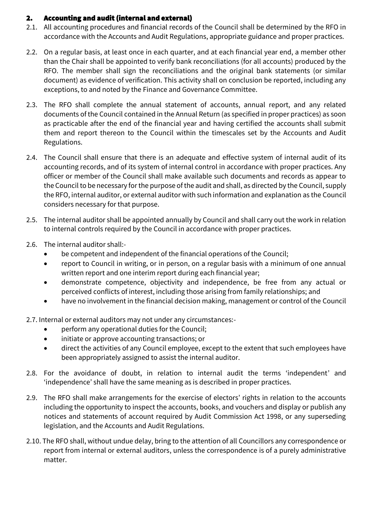#### 2. Accounting and audit (internal and external)

- 2.1. All accounting procedures and financial records of the Council shall be determined by the RFO in accordance with the Accounts and Audit Regulations, appropriate guidance and proper practices.
- 2.2. On a regular basis, at least once in each quarter, and at each financial year end, a member other than the Chair shall be appointed to verify bank reconciliations (for all accounts) produced by the RFO. The member shall sign the reconciliations and the original bank statements (or similar document) as evidence of verification. This activity shall on conclusion be reported, including any exceptions, to and noted by the Finance and Governance Committee.
- 2.3. The RFO shall complete the annual statement of accounts, annual report, and any related documents of the Council contained in the Annual Return (as specified in proper practices) as soon as practicable after the end of the financial year and having certified the accounts shall submit them and report thereon to the Council within the timescales set by the Accounts and Audit Regulations.
- 2.4. The Council shall ensure that there is an adequate and effective system of internal audit of its accounting records, and of its system of internal control in accordance with proper practices. Any officer or member of the Council shall make available such documents and records as appear to the Council to be necessary for the purpose of the audit and shall, as directed by the Council, supply the RFO, internal auditor, or external auditor with such information and explanation as the Council considers necessary for that purpose.
- 2.5. The internal auditor shall be appointed annually by Council and shall carry out the work in relation to internal controls required by the Council in accordance with proper practices.
- 2.6. The internal auditor shall:-
	- be competent and independent of the financial operations of the Council;
	- report to Council in writing, or in person, on a regular basis with a minimum of one annual written report and one interim report during each financial year;
	- demonstrate competence, objectivity and independence, be free from any actual or perceived conflicts of interest, including those arising from family relationships; and
	- have no involvement in the financial decision making, management or control of the Council

2.7. Internal or external auditors may not under any circumstances:-

- perform any operational duties for the Council;
- initiate or approve accounting transactions; or
- direct the activities of any Council employee, except to the extent that such employees have been appropriately assigned to assist the internal auditor.
- 2.8. For the avoidance of doubt, in relation to internal audit the terms 'independent' and 'independence' shall have the same meaning as is described in proper practices.
- 2.9. The RFO shall make arrangements for the exercise of electors' rights in relation to the accounts including the opportunity to inspect the accounts, books, and vouchers and display or publish any notices and statements of account required by Audit Commission Act 1998, or any superseding legislation, and the Accounts and Audit Regulations.
- 2.10. The RFO shall, without undue delay, bring to the attention of all Councillors any correspondence or report from internal or external auditors, unless the correspondence is of a purely administrative matter.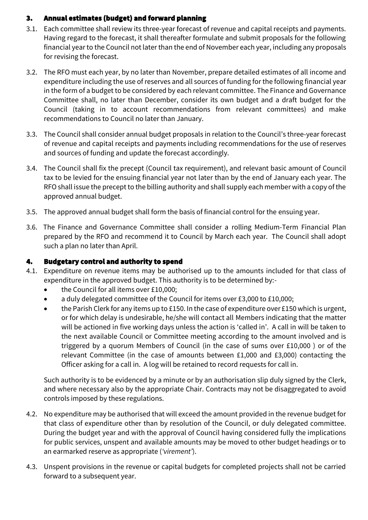## 3. Annual estimates (budget) and forward planning

- 3.1. Each committee shall review its three-year forecast of revenue and capital receipts and payments. Having regard to the forecast, it shall thereafter formulate and submit proposals for the following financial year to the Council not later than the end of Novembereach year, including any proposals for revising the forecast.
- 3.2. The RFO must each year, by no later than November, prepare detailed estimates of all income and expenditure including the use of reserves and all sources of funding for the following financial year in the form of a budget to be considered by each relevant committee. The Finance and Governance Committee shall, no later than December, consider its own budget and a draft budget for the Council (taking in to account recommendations from relevant committees) and make recommendations to Council no later than January.
- 3.3. The Council shall consider annual budget proposals in relation to the Council's three-year forecast of revenue and capital receipts and payments including recommendations for the use of reserves and sources of funding and update the forecast accordingly.
- 3.4. The Council shall fix the precept (Council tax requirement), and relevant basic amount of Council tax to be levied for the ensuing financial year not later than by the end of January each year. The RFO shall issue the precept to the billing authority and shall supply each member with a copy of the approved annual budget.
- 3.5. The approved annual budget shall form the basis of financial control for the ensuing year.
- 3.6. The Finance and Governance Committee shall consider a rolling Medium-Term Financial Plan prepared by the RFO and recommend it to Council by March each year. The Council shall adopt such a plan no later than April.

## 4. Budgetary control and authority to spend

- 4.1. Expenditure on revenue items may be authorised up to the amounts included for that class of expenditure in the approved budget. This authority is to be determined by:-
	- the Council for all items over £10,000;
	- a duly delegated committee of the Council for items over £3,000 to £10,000;
	- the Parish Clerk for any items up to £150. In the case of expenditure over £150 which is urgent, or for which delay is undesirable, he/she will contact all Members indicating that the matter will be actioned in five working days unless the action is 'called in'. A call in will be taken to the next available Council or Committee meeting according to the amount involved and is triggered by a quorum Members of Council (in the case of sums over £10,000 ) or of the relevant Committee (in the case of amounts between £1,000 and £3,000) contacting the Officer asking for a call in. A log will be retained to record requests for call in.

Such authority is to be evidenced by a minute or by an authorisation slip duly signed by the Clerk, and where necessary also by the appropriate Chair. Contracts may not be disaggregated to avoid controls imposed by these regulations.

- 4.2. No expenditure may be authorised that will exceed the amount provided in the revenue budget for that class of expenditure other than by resolution of the Council, or duly delegated committee. During the budget year and with the approval of Council having considered fully the implications for public services, unspent and available amounts may be moved to other budget headings or to an earmarked reserve as appropriate (*'virement'*).
- 4.3. Unspent provisions in the revenue or capital budgets for completed projects shall not be carried forward to a subsequent year.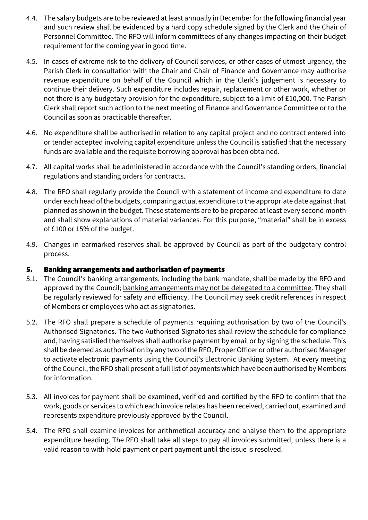- 4.4. The salary budgets are to be reviewed at least annually in December for the following financial year and such review shall be evidenced by a hard copy schedule signed by the Clerk and the Chair of Personnel Committee. The RFO will inform committees of any changes impacting on their budget requirement for the coming year in good time.
- 4.5. In cases of extreme risk to the delivery of Council services, or other cases of utmost urgency, the Parish Clerk in consultation with the Chair and Chair of Finance and Governance may authorise revenue expenditure on behalf of the Council which in the Clerk's judgement is necessary to continue their delivery. Such expenditure includes repair, replacement or other work, whether or not there is any budgetary provision for the expenditure, subject to a limit of £10,000. The Parish Clerk shall report such action to the next meeting of Finance and Governance Committee or to the Council as soon as practicable thereafter.
- 4.6. No expenditure shall be authorised in relation to any capital project and no contract entered into or tender accepted involving capital expenditure unless the Council is satisfied that the necessary funds are available and the requisite borrowing approval has been obtained.
- 4.7. All capital works shall be administered in accordance with the Council's standing orders, financial regulations and standing orders for contracts.
- 4.8. The RFO shall regularly provide the Council with a statement of income and expenditure to date under each head of the budgets, comparing actual expenditure to the appropriate date against that planned as shown in the budget. These statements are to be prepared at least every second month and shall show explanations of material variances. For this purpose, "material" shall be in excess of £100 or 15% of the budget.
- 4.9. Changes in earmarked reserves shall be approved by Council as part of the budgetary control process.

#### 5. Banking arrangements and authorisation of payments

- 5.1. The Council's banking arrangements, including the bank mandate, shall be made by the RFO and approved by the Council; banking arrangements may not be delegated to a committee. They shall be regularly reviewed for safety and efficiency. The Council may seek credit references in respect of Members or employees who act as signatories.
- 5.2. The RFO shall prepare a schedule of payments requiring authorisation by two of the Council's Authorised Signatories. The two Authorised Signatories shall review the schedule for compliance and, having satisfied themselves shall authorise payment by email or by signing the schedule. This shall be deemed as authorisation by any two of the RFO, Proper Officer or other authorised Manager to activate electronic payments using the Council's Electronic Banking System. At every meeting of the Council, the RFO shall present a full list of payments which have been authorised by Members for information.
- 5.3. All invoices for payment shall be examined, verified and certified by the RFO to confirm that the work, goods or services to which each invoice relates has been received, carried out, examined and represents expenditure previously approved by the Council.
- 5.4. The RFO shall examine invoices for arithmetical accuracy and analyse them to the appropriate expenditure heading. The RFO shall take all steps to pay all invoices submitted, unless there is a valid reason to with-hold payment or part payment until the issue is resolved.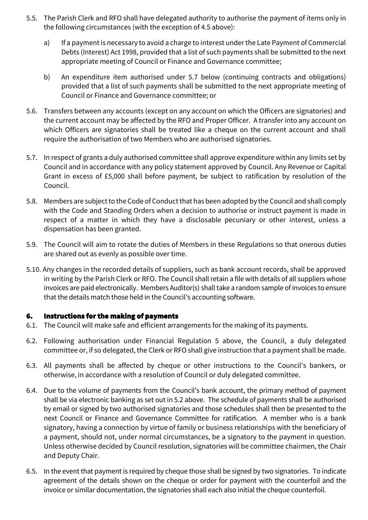- 5.5. The Parish Clerk and RFO shall have delegated authority to authorise the payment of items only in the following circumstances (with the exception of 4.5 above):
	- a) If a payment is necessary to avoid a charge to interest under the Late Payment of Commercial Debts (Interest) Act 1998, provided that a list of such payments shall be submitted to the next appropriate meeting of Council or Finance and Governance committee;
	- b) An expenditure item authorised under 5.7 below (continuing contracts and obligations) provided that a list of such payments shall be submitted to the next appropriate meeting of Council or Finance and Governance committee; or
- 5.6. Transfers between any accounts (except on any account on which the Officers are signatories) and the current account may be affected by the RFO and Proper Officer. A transfer into any account on which Officers are signatories shall be treated like a cheque on the current account and shall require the authorisation of two Members who are authorised signatories.
- 5.7. In respect of grants a duly authorised committee shall approve expenditure within any limits set by Council and in accordance with any policy statement approved by Council. Any Revenue or Capital Grant in excess of £5,000 shall before payment, be subject to ratification by resolution of the Council.
- 5.8. Members are subject to the Code of Conduct that has been adopted by the Council and shall comply with the Code and Standing Orders when a decision to authorise or instruct payment is made in respect of a matter in which they have a disclosable pecuniary or other interest, unless a dispensation has been granted.
- 5.9. The Council will aim to rotate the duties of Members in these Regulations so that onerous duties are shared out as evenly as possible over time.
- 5.10. Any changes in the recorded details of suppliers, such as bank account records, shall be approved in writing by the Parish Clerk or RFO. The Council shall retain a file with details of all suppliers whose invoices are paid electronically. Members Auditor(s) shall take a random sample of invoices to ensure that the details match those held in the Council's accounting software.

#### 6. Instructions for the making of payments

- 6.1. The Council will make safe and efficient arrangements for the making of its payments.
- 6.2. Following authorisation under Financial Regulation 5 above, the Council, a duly delegated committee or, if so delegated, the Clerk or RFO shall give instruction that a payment shall be made.
- 6.3. All payments shall be affected by cheque or other instructions to the Council's bankers, or otherwise, in accordance with a resolution of Council or duly delegated committee.
- 6.4. Due to the volume of payments from the Council's bank account, the primary method of payment shall be via electronic banking as set out in 5.2 above. The schedule of payments shall be authorised by email or signed by two authorised signatories and those schedules shall then be presented to the next Council or Finance and Governance Committee for ratification. A member who is a bank signatory, having a connection by virtue of family or business relationships with the beneficiary of a payment, should not, under normal circumstances, be a signatory to the payment in question. Unless otherwise decided by Council resolution, signatories will be committee chairmen, the Chair and Deputy Chair.
- 6.5. In the event that payment is required by cheque those shall be signed by two signatories. To indicate agreement of the details shown on the cheque or order for payment with the counterfoil and the invoice or similar documentation, the signatories shall each also initial the cheque counterfoil.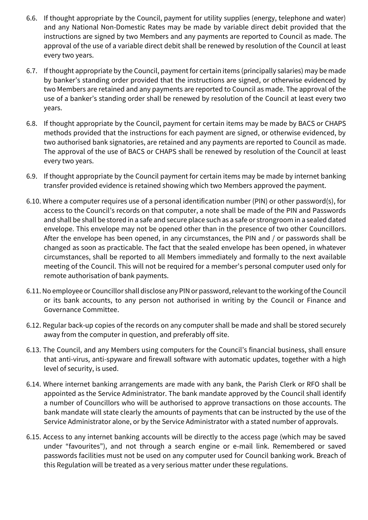- 6.6. If thought appropriate by the Council, payment for utility supplies (energy, telephone and water) and any National Non-Domestic Rates may be made by variable direct debit provided that the instructions are signed by two Members and any payments are reported to Council as made. The approval of the use of a variable direct debit shall be renewed by resolution of the Council at least every two years.
- 6.7. If thought appropriate by the Council, payment for certain items (principally salaries) may be made by banker's standing order provided that the instructions are signed, or otherwise evidenced by two Members are retained and any payments are reported to Council as made. The approval of the use of a banker's standing order shall be renewed by resolution of the Council at least every two years.
- 6.8. If thought appropriate by the Council, payment for certain items may be made by BACS or CHAPS methods provided that the instructions for each payment are signed, or otherwise evidenced, by two authorised bank signatories, are retained and any payments are reported to Council as made. The approval of the use of BACS or CHAPS shall be renewed by resolution of the Council at least every two years.
- 6.9. If thought appropriate by the Council payment for certain items may be made by internet banking transfer provided evidence is retained showing which two Members approved the payment.
- 6.10. Where a computer requires use of a personal identification number (PIN) or other password(s), for access to the Council's records on that computer, a note shall be made of the PIN and Passwords and shall be shall be stored in a safe and secure place such as a safe or strongroom in a sealed dated envelope. This envelope may not be opened other than in the presence of two other Councillors. After the envelope has been opened, in any circumstances, the PIN and / or passwords shall be changed as soon as practicable. The fact that the sealed envelope has been opened, in whatever circumstances, shall be reported to all Members immediately and formally to the next available meeting of the Council. This will not be required for a member's personal computer used only for remote authorisation of bank payments.
- 6.11. No employee or Councillor shall disclose any PIN or password, relevant to the working of the Council or its bank accounts, to any person not authorised in writing by the Council or Finance and Governance Committee.
- 6.12. Regular back-up copies of the records on any computer shall be made and shall be stored securely away from the computer in question, and preferably off site.
- 6.13. The Council, and any Members using computers for the Council's financial business, shall ensure that anti-virus, anti-spyware and firewall software with automatic updates, together with a high level of security, is used.
- 6.14. Where internet banking arrangements are made with any bank, the Parish Clerk or RFO shall be appointed as the Service Administrator. The bank mandate approved by the Council shall identify a number of Councillors who will be authorised to approve transactions on those accounts. The bank mandate will state clearly the amounts of payments that can be instructed by the use of the Service Administrator alone, or by the Service Administrator with a stated number of approvals.
- 6.15. Access to any internet banking accounts will be directly to the access page (which may be saved under "favourites"), and not through a search engine or e-mail link. Remembered or saved passwords facilities must not be used on any computer used for Council banking work. Breach of this Regulation will be treated as a very serious matter under these regulations.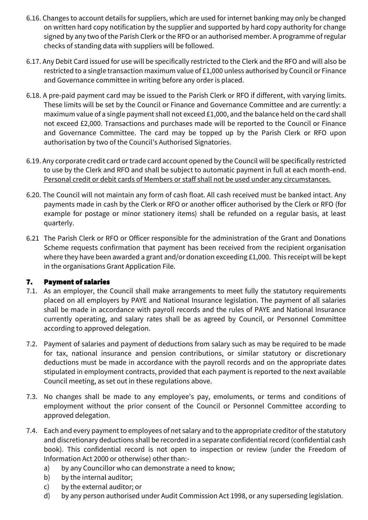- 6.16. Changes to account details for suppliers, which are used for internet banking may only be changed on written hard copy notification by the supplier and supported by hard copy authority for change signed by any two of the Parish Clerk or the RFO or an authorised member. A programme of regular checks of standing data with suppliers will be followed.
- 6.17. Any Debit Card issued for use will be specifically restricted to the Clerk and the RFO and will also be restricted to a single transaction maximum value of £1,000 unless authorised by Council or Finance and Governance committee in writing before any order is placed.
- 6.18. A pre-paid payment card may be issued to the Parish Clerk or RFO if different, with varying limits. These limits will be set by the Council or Finance and Governance Committee and are currently: a maximum value of a single payment shall not exceed £1,000, and the balance held on the card shall not exceed £2,000. Transactions and purchases made will be reported to the Council or Finance and Governance Committee. The card may be topped up by the Parish Clerk or RFO upon authorisation by two of the Council's Authorised Signatories.
- 6.19. Any corporate credit card or trade card account opened by the Council will be specifically restricted to use by the Clerk and RFO and shall be subject to automatic payment in full at each month-end. Personal credit or debit cards of Members or staff shall not be used under any circumstances.
- 6.20. The Council will not maintain any form of cash float. All cash received must be banked intact. Any payments made in cash by the Clerk or RFO or another officer authorised by the Clerk or RFO (for example for postage or minor stationery items) shall be refunded on a regular basis, at least quarterly.
- 6.21 The Parish Clerk or RFO or Officer responsible for the administration of the Grant and Donations Scheme requests confirmation that payment has been received from the recipient organisation where they have been awarded a grant and/or donation exceeding £1,000. This receipt will be kept in the organisations Grant Application File.

## 7. Payment of salaries

- 7.1. As an employer, the Council shall make arrangements to meet fully the statutory requirements placed on all employers by PAYE and National Insurance legislation. The payment of all salaries shall be made in accordance with payroll records and the rules of PAYE and National Insurance currently operating, and salary rates shall be as agreed by Council, or Personnel Committee according to approved delegation.
- 7.2. Payment of salaries and payment of deductions from salary such as may be required to be made for tax, national insurance and pension contributions, or similar statutory or discretionary deductions must be made in accordance with the payroll records and on the appropriate dates stipulated in employment contracts, provided that each payment is reported to the next available Council meeting, as set out in these regulations above.
- 7.3. No changes shall be made to any employee's pay, emoluments, or terms and conditions of employment without the prior consent of the Council or Personnel Committee according to approved delegation.
- 7.4. Each and every payment to employees of net salary and to the appropriate creditor of the statutory and discretionary deductions shall be recorded in a separate confidential record (confidential cash book). This confidential record is not open to inspection or review (under the Freedom of Information Act 2000 or otherwise) other than:
	- a) by any Councillor who can demonstrate a need to know;
	- b) by the internal auditor;
	- c) by the external auditor; or
	- d) by any person authorised under Audit Commission Act 1998, or any superseding legislation.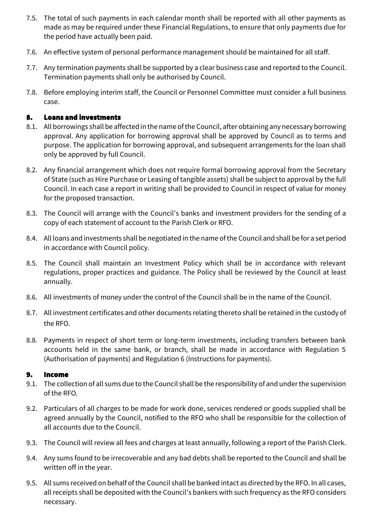- 7.5. The total of such payments in each calendar month shall be reported with all other payments as made as may be required under these Financial Regulations, to ensure that only payments due for the period have actually been paid.
- 7.6. An effective system of personal performance management should be maintained for all staff.
- 7.7. Any termination payments shall be supported by a clear business case and reported to the Council. Termination payments shall only be authorised by Council.
- 7.8. Before employing interim staff, the Council or Personnel Committee must consider a full business case.

#### 8. Loans and investments

- 8.1. All borrowings shall be affected in the name of the Council, after obtaining any necessary borrowing approval. Any application for borrowing approval shall be approved by Council as to terms and purpose. The application for borrowing approval, and subsequent arrangements for the loan shall only be approved by full Council.
- 8.2. Any financial arrangement which does not require formal borrowing approval from the Secretary of State(such as Hire Purchase or Leasing of tangible assets) shall be subject to approval by the full Council. In each case a report in writing shall be provided to Council in respect of value for money for the proposed transaction.
- 8.3. The Council will arrange with the Council's banks and investment providers for the sending of a copy of each statement of account to the Parish Clerk or RFO.
- 8.4. All loans and investments shall be negotiated in the name of the Council and shall be for a set period in accordance with Council policy.
- 8.5. The Council shall maintain an Investment Policy which shall be in accordance with relevant regulations, proper practices and guidance. The Policy shall be reviewed by the Council at least annually.
- 8.6. All investments of money under the control of the Council shall be in the name of the Council.
- 8.7. All investment certificates and other documents relating thereto shall be retained in the custody of the RFO.
- 8.8. Payments in respect of short term or long-term investments, including transfers between bank accounts held in the same bank, or branch, shall be made in accordance with Regulation 5 (Authorisation of payments) and Regulation 6 (Instructions for payments).

#### 9. Income

- 9.1. The collection of all sums due to the Council shall be the responsibility of and under the supervision of the RFO.
- 9.2. Particulars of all charges to be made for work done, services rendered or goods supplied shall be agreed annually by the Council, notified to the RFO who shall be responsible for the collection of all accounts due to the Council.
- 9.3. The Council will review all fees and charges at least annually, following a report of the Parish Clerk.
- 9.4. Any sums found to be irrecoverable and any bad debts shall be reported to the Council and shall be written off in the year.
- 9.5. All sums received on behalf of the Council shall be banked intact as directed by the RFO. In all cases, all receipts shall be deposited with the Council's bankers with such frequency as the RFO considers necessary.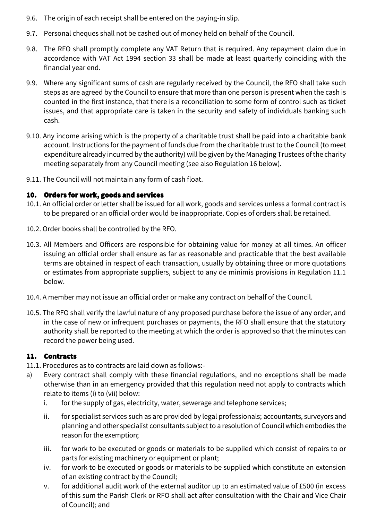- 9.6. The origin of each receipt shall be entered on the paying-in slip.
- 9.7. Personal cheques shall not be cashed out of money held on behalf of the Council.
- 9.8. The RFO shall promptly complete any VAT Return that is required. Any repayment claim due in accordance with VAT Act 1994 section 33 shall be made at least quarterly coinciding with the financial year end.
- 9.9. Where any significant sums of cash are regularly received by the Council, the RFO shall take such steps as are agreed by the Council to ensure that more than one person is present when the cash is counted in the first instance, that there is a reconciliation to some form of control such as ticket issues, and that appropriate care is taken in the security and safety of individuals banking such cash.
- 9.10. Any income arising which is the property of a charitable trust shall be paid into a charitable bank account. Instructions for the payment of funds due from the charitable trust to the Council (to meet expenditure already incurred by the authority) will be given by the Managing Trustees of the charity meeting separately from any Council meeting (see also Regulation 16 below).
- 9.11. The Council will not maintain any form of cash float.

## 10. Orders for work, goods and services

- 10.1. An official order or letter shall be issued for all work, goods and services unless a formal contract is to be prepared or an official order would be inappropriate. Copies of orders shall be retained.
- 10.2. Order books shall be controlled by the RFO.
- 10.3. All Members and Officers are responsible for obtaining value for money at all times. An officer issuing an official order shall ensure as far as reasonable and practicable that the best available terms are obtained in respect of each transaction, usually by obtaining three or more quotations or estimates from appropriate suppliers, subject to any de minimis provisions in Regulation 11.1 below.
- 10.4. A member may not issue an official order or make any contract on behalf of the Council.
- 10.5. The RFO shall verify the lawful nature of any proposed purchase before the issue of any order, and in the case of new or infrequent purchases or payments, the RFO shall ensure that the statutory authority shall be reported to the meeting at which the order is approved so that the minutes can record the power being used.

## 11. Contracts

- 11.1. Procedures as to contracts are laid down as follows:-
- a) Every contract shall comply with these financial regulations, and no exceptions shall be made otherwise than in an emergency provided that this regulation need not apply to contracts which relate to items (i) to (vii) below:
	- i. for the supply of gas, electricity, water, sewerage and telephone services;
	- ii. for specialist services such as are provided by legal professionals; accountants, surveyors and planning and other specialist consultants subject to a resolution of Council which embodies the reason for the exemption;
	- iii. for work to be executed or goods or materials to be supplied which consist of repairs to or parts for existing machinery or equipment or plant;
	- iv. for work to be executed or goods or materials to be supplied which constitute an extension of an existing contract by the Council;
	- v. for additional audit work of the external auditor up to an estimated value of £500 (in excess of this sum the Parish Clerk or RFO shall act after consultation with the Chair and Vice Chair of Council); and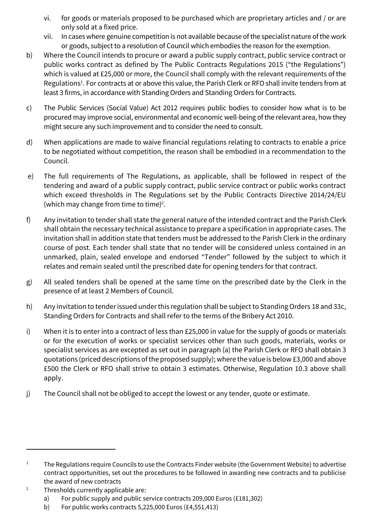- vi. for goods or materials proposed to be purchased which are proprietary articles and / or are only sold at a fixed price.
- vii. In cases where genuine competition is not available because of the specialist nature of the work or goods, subject to a resolution of Council which embodies the reason for the exemption.
- b) Where the Council intends to procure or award a public supply contract, public service contract or public works contract as defined by The Public Contracts Regulations 2015 ("the Regulations") which is valued at £25,000 or more, the Council shall comply with the relevant requirements of the Regulations<sup>1</sup>. For contracts at or above this value, the Parish Clerk or RFO shall invite tenders from at least 3 firms, in accordance with Standing Orders and Standing Orders for Contracts.
- c) The Public Services (Social Value) Act 2012 requires public bodies to consider how what is to be procured may improve social, environmental and economic well-being of the relevant area, how they might secure any such improvement and to consider the need to consult.
- d) When applications are made to waive financial regulations relating to contracts to enable a price to be negotiated without competition, the reason shall be embodied in a recommendation to the Council.
- e) The full requirements of The Regulations, as applicable, shall be followed in respect of the tendering and award of a public supply contract, public service contract or public works contract which exceed thresholds in The Regulations set by the Public Contracts Directive 2014/24/EU (which may change from time to time)<sup>2</sup>.
- f) Any invitation to tender shall state the general nature of the intended contract and the Parish Clerk shall obtain the necessary technical assistance to prepare a specification in appropriate cases. The invitation shall in addition state that tenders must be addressed to the Parish Clerk in the ordinary course of post. Each tender shall state that no tender will be considered unless contained in an unmarked, plain, sealed envelope and endorsed "Tender" followed by the subject to which it relates and remain sealed until the prescribed date for opening tenders for that contract.
- g) All sealed tenders shall be opened at the same time on the prescribed date by the Clerk in the presence of at least 2 Members of Council.
- h) Any invitation to tender issued under this regulation shall be subject to Standing Orders 18 and 33c, Standing Orders for Contracts and shall refer to the terms of the Bribery Act 2010.
- i) When it is to enter into a contract of less than £25,000 in value for the supply of goods or materials or for the execution of works or specialist services other than such goods, materials, works or specialist services as are excepted as set out in paragraph (a) the Parish Clerk or RFO shall obtain 3 quotations (priced descriptions of the proposed supply); where the value is below £3,000 and above £500 the Clerk or RFO shall strive to obtain 3 estimates. Otherwise, Regulation 10.3 above shall apply.
- j) The Council shall not be obliged to accept the lowest or any tender, quote or estimate.

<sup>&</sup>lt;sup>1</sup> The Regulations require Councils to use the Contracts Finder website (the Government Website) to advertise contract opportunities, set out the procedures to be followed in awarding new contracts and to publicise the award of new contracts

<sup>&</sup>lt;sup>2</sup> Thresholds currently applicable are:

a) For public supply and public service contracts 209,000 Euros (£181,302)

b) For public works contracts 5,225,000 Euros (£4,551,413)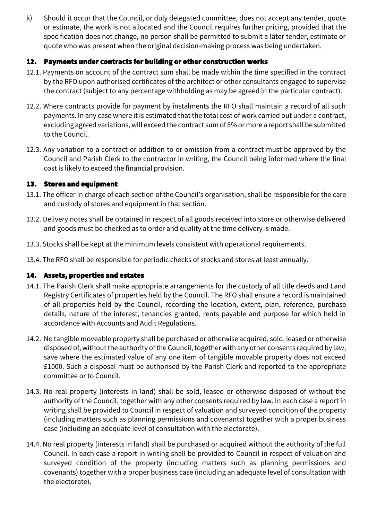k) Should it occur that the Council, or duly delegated committee, does not accept any tender, quote or estimate, the work is not allocated and the Council requires further pricing, provided that the specification does not change, no person shall be permitted to submit a later tender, estimate or quote who was present when the original decision-making process was being undertaken.

#### 12. Payments under contracts for building or other construction works

- 12.1. Payments on account of the contract sum shall be made within the time specified in the contract by the RFO upon authorised certificates of the architect or other consultants engaged to supervise the contract (subject to any percentage withholding as may be agreed in the particular contract).
- 12.2. Where contracts provide for payment by instalments the RFO shall maintain a record of all such payments. In any case where it is estimated that the total cost of work carried out under a contract, excluding agreed variations, will exceed the contract sum of 5% or more a report shall be submitted to the Council.
- 12.3. Any variation to a contract or addition to or omission from a contract must be approved by the Council and Parish Clerk to the contractor in writing, the Council being informed where the final cost is likely to exceed the financial provision.

## 13. Stores and equipment

- 13.1. The officer in charge of each section of the Council's organisation, shall be responsible for the care and custody of stores and equipment in that section.
- 13.2. Delivery notes shall be obtained in respect of all goods received into store or otherwise delivered and goods must be checked as to order and quality at the time delivery is made.
- 13.3. Stocks shall be kept at the minimum levels consistent with operational requirements.
- 13.4. The RFO shall be responsible for periodic checks of stocks and stores at least annually.

## 14. Assets, properties and estates

- 14.1. The Parish Clerk shall make appropriate arrangements for the custody of all title deeds and Land Registry Certificates of properties held by the Council. The RFO shall ensure a record is maintained of all properties held by the Council, recording the location, extent, plan, reference, purchase details, nature of the interest, tenancies granted, rents payable and purpose for which held in accordance with Accounts and Audit Regulations.
- 14.2. No tangible moveable property shall be purchased or otherwise acquired, sold, leased or otherwise disposed of, without the authority of the Council, together with any other consents required by law, save where the estimated value of any one item of tangible movable property does not exceed £1000. Such a disposal must be authorised by the Parish Clerk and reported to the appropriate committee or to Council.
- 14.3. No real property (interests in land) shall be sold, leased or otherwise disposed of without the authority of the Council, together with any other consents required by law. In each case a report in writing shall be provided to Council in respect of valuation and surveyed condition of the property (including matters such as planning permissions and covenants) together with a proper business case (including an adequate level of consultation with the electorate).
- 14.4. No real property (interests in land) shall be purchased or acquired without the authority of the full Council. In each case a report in writing shall be provided to Council in respect of valuation and surveyed condition of the property (including matters such as planning permissions and covenants) together with a proper business case (including an adequate level of consultation with the electorate).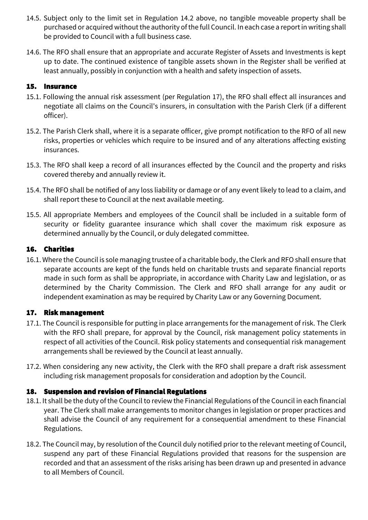- 14.5. Subject only to the limit set in Regulation 14.2 above, no tangible moveable property shall be purchased or acquired without the authority of the full Council. In each case a report in writing shall be provided to Council with a full business case.
- 14.6. The RFO shall ensure that an appropriate and accurate Register of Assets and Investments is kept up to date. The continued existence of tangible assets shown in the Register shall be verified at least annually, possibly in conjunction with a health and safety inspection of assets.

#### 15. Insurance

- 15.1. Following the annual risk assessment (per Regulation 17), the RFO shall effect all insurances and negotiate all claims on the Council's insurers, in consultation with the Parish Clerk (if a different officer).
- 15.2. The Parish Clerk shall, where it is a separate officer, give prompt notification to the RFO of all new risks, properties or vehicles which require to be insured and of any alterations affecting existing insurances.
- 15.3. The RFO shall keep a record of all insurances effected by the Council and the property and risks covered thereby and annually review it.
- 15.4. The RFO shall be notified of any loss liability or damage or of any event likely to lead to a claim, and shall report these to Council at the next available meeting.
- 15.5. All appropriate Members and employees of the Council shall be included in a suitable form of security or fidelity guarantee insurance which shall cover the maximum risk exposure as determined annually by the Council, or duly delegated committee.

## 16. Charities

16.1. Where the Council is sole managing trustee of a charitable body, the Clerk and RFO shall ensure that separate accounts are kept of the funds held on charitable trusts and separate financial reports made in such form as shall be appropriate, in accordance with Charity Law and legislation, or as determined by the Charity Commission. The Clerk and RFO shall arrange for any audit or independent examination as may be required by Charity Law or any Governing Document.

## 17. Risk management

- 17.1. The Council is responsible for putting in place arrangements for the management of risk. The Clerk with the RFO shall prepare, for approval by the Council, risk management policy statements in respect of all activities of the Council. Risk policy statements and consequential risk management arrangements shall be reviewed by the Council at least annually.
- 17.2. When considering any new activity, the Clerk with the RFO shall prepare a draft risk assessment including risk management proposals for consideration and adoption by the Council.

## 18. Suspension and revision of Financial Regulations

- 18.1. It shall be the duty of the Council to review the Financial Regulations of the Council in each financial year. The Clerk shall make arrangements to monitor changes in legislation or proper practices and shall advise the Council of any requirement for a consequential amendment to these Financial Regulations.
- 18.2. The Council may, by resolution of the Council duly notified prior to the relevant meeting of Council, suspend any part of these Financial Regulations provided that reasons for the suspension are recorded and that an assessment of the risks arising has been drawn up and presented in advance to all Members of Council.